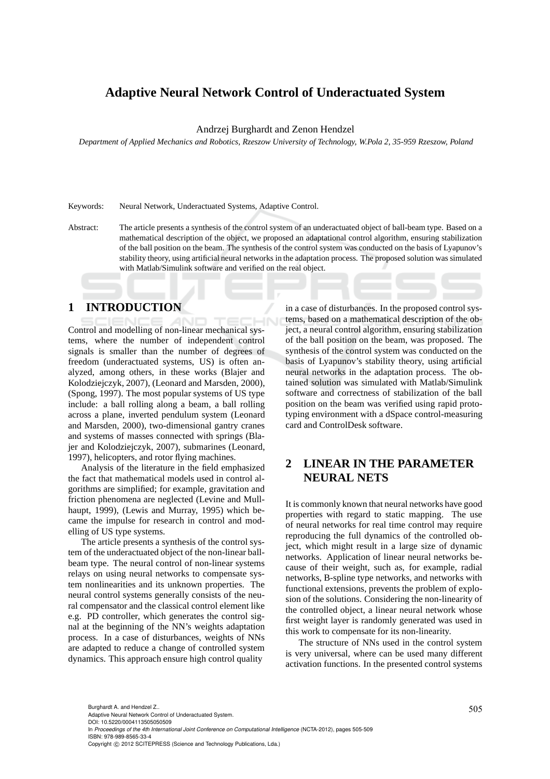# **Adaptive Neural Network Control of Underactuated System**

Andrzej Burghardt and Zenon Hendzel

*Department of Applied Mechanics and Robotics, Rzeszow University of Technology, W.Pola 2, 35-959 Rzeszow, Poland*

Keywords: Neural Network, Underactuated Systems, Adaptive Control.

Abstract: The article presents a synthesis of the control system of an underactuated object of ball-beam type. Based on a mathematical description of the object, we proposed an adaptational control algorithm, ensuring stabilization of the ball position on the beam. The synthesis of the control system was conducted on the basis of Lyapunov's stability theory, using artificial neural networks in the adaptation process. The proposed solution was simulated with Matlab/Simulink software and verified on the real object.

### **1 INTRODUCTION**

Control and modelling of non-linear mechanical systems, where the number of independent control signals is smaller than the number of degrees of freedom (underactuated systems, US) is often analyzed, among others, in these works (Blajer and Kolodziejczyk, 2007), (Leonard and Marsden, 2000), (Spong, 1997). The most popular systems of US type include: a ball rolling along a beam, a ball rolling across a plane, inverted pendulum system (Leonard and Marsden, 2000), two-dimensional gantry cranes and systems of masses connected with springs (Blajer and Kolodziejczyk, 2007), submarines (Leonard, 1997), helicopters, and rotor flying machines.

Analysis of the literature in the field emphasized the fact that mathematical models used in control algorithms are simplified; for example, gravitation and friction phenomena are neglected (Levine and Mullhaupt, 1999), (Lewis and Murray, 1995) which became the impulse for research in control and modelling of US type systems.

The article presents a synthesis of the control system of the underactuated object of the non-linear ballbeam type. The neural control of non-linear systems relays on using neural networks to compensate system nonlinearities and its unknown properties. The neural control systems generally consists of the neural compensator and the classical control element like e.g. PD controller, which generates the control signal at the beginning of the NN's weights adaptation process. In a case of disturbances, weights of NNs are adapted to reduce a change of controlled system dynamics. This approach ensure high control quality

in a case of disturbances. In the proposed control systems, based on a mathematical description of the object, a neural control algorithm, ensuring stabilization of the ball position on the beam, was proposed. The synthesis of the control system was conducted on the basis of Lyapunov's stability theory, using artificial neural networks in the adaptation process. The obtained solution was simulated with Matlab/Simulink software and correctness of stabilization of the ball position on the beam was verified using rapid prototyping environment with a dSpace control-measuring card and ControlDesk software.

# **2 LINEAR IN THE PARAMETER NEURAL NETS**

It is commonly known that neural networks have good properties with regard to static mapping. The use of neural networks for real time control may require reproducing the full dynamics of the controlled object, which might result in a large size of dynamic networks. Application of linear neural networks because of their weight, such as, for example, radial networks, B-spline type networks, and networks with functional extensions, prevents the problem of explosion of the solutions. Considering the non-linearity of the controlled object, a linear neural network whose first weight layer is randomly generated was used in this work to compensate for its non-linearity.

The structure of NNs used in the control system is very universal, where can be used many different activation functions. In the presented control systems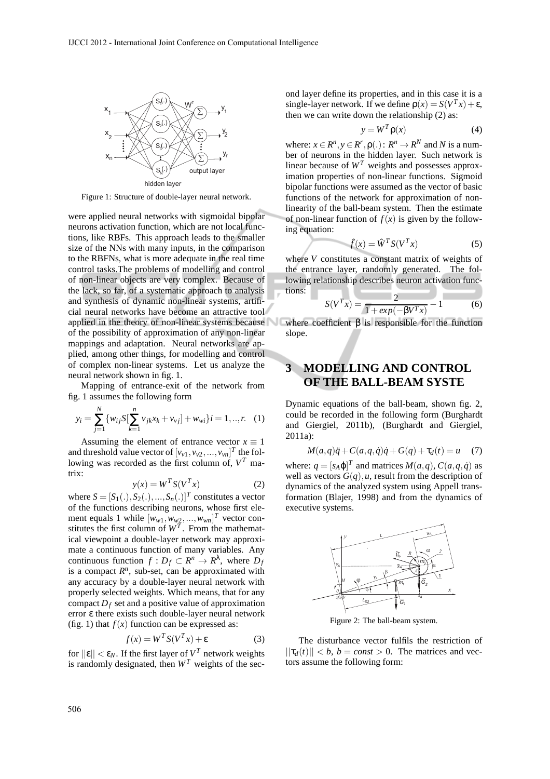

Figure 1: Structure of double-layer neural network.

were applied neural networks with sigmoidal bipolar neurons activation function, which are not local functions, like RBFs. This approach leads to the smaller size of the NNs with many inputs, in the comparison to the RBFNs, what is more adequate in the real time control tasks.The problems of modelling and control of non-linear objects are very complex. Because of the lack, so far, of a systematic approach to analysis and synthesis of dynamic non-linear systems, artificial neural networks have become an attractive tool applied in the theory of non-linear systems because of the possibility of approximation of any non-linear mappings and adaptation. Neural networks are applied, among other things, for modelling and control of complex non-linear systems. Let us analyze the neural network shown in fig. 1.

Mapping of entrance-exit of the network from fig. 1 assumes the following form

$$
y_i = \sum_{j=1}^{N} \{ w_{ij} S[\sum_{k=1}^{n} v_{jk} x_k + v_{vj}] + w_{wi} \} i = 1, ..., r. \quad (1)
$$

Assuming the element of entrance vector  $x \equiv 1$ and threshold value vector of  $[v_{\nu 1}, v_{\nu 2},..., v_{\nu n}]^T$  the following was recorded as the first column of, *V <sup>T</sup>* matrix:

$$
y(x) = W^T S(V^T x) \tag{2}
$$

where  $S = [S_1(.), S_2(.), ..., S_n(.)]^T$  constitutes a vector of the functions describing neurons, whose first element equals 1 while  $[w_{w1}, w_{w2}, ..., w_{wn}]^T$  vector constitutes the first column of  $W<sup>T</sup>$ . From the mathematical viewpoint a double-layer network may approximate a continuous function of many variables. Any continuous function  $f: D_f \subset \mathbb{R}^n \to \mathbb{R}^{\lambda}$ , where  $D_f$ is a compact  $R<sup>n</sup>$ , sub-set, can be approximated with any accuracy by a double-layer neural network with properly selected weights. Which means, that for any compact  $D_f$  set and a positive value of approximation error ε there exists such double-layer neural network (fig. 1) that  $f(x)$  function can be expressed as:

$$
f(x) = W^T S(V^T x) + \varepsilon \tag{3}
$$

for  $||\varepsilon|| < \varepsilon_N$ . If the first layer of  $V^T$  network weights is randomly designated, then  $W<sup>T</sup>$  weights of the second layer define its properties, and in this case it is a single-layer network. If we define  $\rho(x) = S(V^T x) + \varepsilon$ , then we can write down the relationship (2) as:

$$
y = W^T \rho(x) \tag{4}
$$

where:  $x \in R^n$ ,  $y \in R^r$ ,  $\rho(.)$ :  $R^n \to R^N$  and N is a number of neurons in the hidden layer. Such network is linear because of  $W<sup>T</sup>$  weights and possesses approximation properties of non-linear functions. Sigmoid bipolar functions were assumed as the vector of basic functions of the network for approximation of nonlinearity of the ball-beam system. Then the estimate of non-linear function of  $f(x)$  is given by the following equation:

$$
\hat{f}(x) = \hat{W}^T S(V^T x) \tag{5}
$$

where *V* constitutes a constant matrix of weights of the entrance layer, randomly generated. The following relationship describes neuron activation functions:

$$
S(V^{T} x) = \frac{2}{1 + exp(-\beta V^{T} x)} - 1
$$
 (6)

where coefficient  $\beta$  is responsible for the function slope.

### **3 MODELLING AND CONTROL OF THE BALL-BEAM SYSTE**

Dynamic equations of the ball-beam, shown fig. 2, could be recorded in the following form (Burghardt and Giergiel, 2011b), (Burghardt and Giergiel, 2011a):

$$
M(a,q)\ddot{q} + C(a,q,\dot{q})\dot{q} + G(q) + \tau_d(t) = u \quad (7)
$$

where:  $q = [s_A \varphi]^T$  and matrices  $M(a,q)$ ,  $C(a,q,\dot{q})$  as well as vectors  $G(q)$ , *u*, result from the description of dynamics of the analyzed system using Appell transformation (Blajer, 1998) and from the dynamics of executive systems.



Figure 2: The ball-beam system.

The disturbance vector fulfils the restriction of  $||\tau_d(t)|| < b$ ,  $b = const > 0$ . The matrices and vectors assume the following form: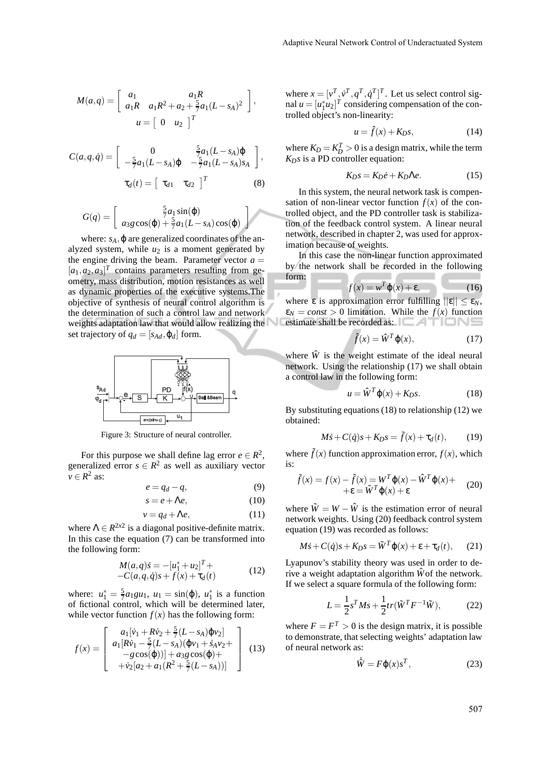$$
M(a,q) = \begin{bmatrix} a_1 & a_1 R \\ a_1 R & a_1 R^2 + a_2 + \frac{5}{7} a_1 (L - s_A)^2 \end{bmatrix},
$$
  

$$
u = \begin{bmatrix} 0 & u_2 \end{bmatrix}^T
$$

$$
C(a,q,\dot{q}) = \begin{bmatrix} 0 & \frac{5}{7}a_1(L-s_A)\varphi \\ -\frac{5}{7}a_1(L-s_A)\varphi & -\frac{5}{7}a_1(L-s_A)s_A \end{bmatrix},
$$

$$
\tau_d(t) = \begin{bmatrix} \tau_{d1} & \tau_{d2} \end{bmatrix}^T
$$
(8)

$$
G(q) = \begin{bmatrix} \frac{5}{7}a_1\sin(\varphi) \\ a_3g\cos(\varphi) + \frac{5}{7}a_1(L - s_A)\cos(\varphi) \end{bmatrix}
$$

where:  $s_A$ ,  $\varphi$  are generalized coordinates of the analyzed system, while  $u_2$  is a moment generated by the engine driving the beam. Parameter vector  $a =$  $[a_1, a_2, a_3]^T$  contains parameters resulting from geometry, mass distribution, motion resistances as well as dynamic properties of the executive systems.The objective of synthesis of neural control algorithm is the determination of such a control law and network weights adaptation law that would allow realizing the set trajectory of  $q_d = [s_{Ad}, \varphi_d]$  form.



Figure 3: Structure of neural controller.

For this purpose we shall define lag error  $e \in \mathbb{R}^2$ , generalized error  $s \in \mathbb{R}^2$  as well as auxiliary vector  $v \in R^2$  as:

$$
e = q_d - q,\t\t(9)
$$

$$
s = e + \Lambda e,\tag{10}
$$

$$
v = q_d + \Lambda e,\tag{11}
$$

where  $\Lambda \in R^{2x2}$  is a diagonal positive-definite matrix. In this case the equation (7) can be transformed into the following form:

$$
M(a,q)\dot{s} = -[u_1^* + u_2]^T +
$$
  
-C(a,q,\dot{q})s + f(x) + \tau\_d(t) (12)

where:  $u_1^* = \frac{5}{7} a_1 g u_1$ ,  $u_1 = \sin(\phi)$ ,  $u_1^*$  is a function of fictional control, which will be determined later, while vector function  $f(x)$  has the following form:

$$
f(x) = \begin{bmatrix} a_1[\dot{v}_1 + R\dot{v}_2 + \frac{5}{7}(L - s_A)\dot{\phi}v_2] \\ a_1[R\dot{v}_1 - \frac{5}{7}(L - s_A)(\dot{\phi}v_1 + \dot{s}_Av_2 + -g\cos(\phi))] + a_3g\cos(\phi) + \\ + \dot{v}_2[a_2 + a_1(R^2 + \frac{5}{7}(L - s_A))] \end{bmatrix}
$$
(13)

where  $x = [v^T, \dot{v}^T, q^T, \dot{q}^T]^T$ . Let us select control signal  $u = [u_1^* u_2]^T$  considering compensation of the controlled object's non-linearity:

$$
u = \hat{f}(x) + K_D s,\tag{14}
$$

where  $K_D = K_D^T > 0$  is a design matrix, while the term *KDs* is a PD controller equation:

$$
K_D s = K_D \dot{e} + K_D \Lambda e. \tag{15}
$$

In this system, the neural network task is compensation of non-linear vector function  $f(x)$  of the controlled object, and the PD controller task is stabilization of the feedback control system. A linear neural network, described in chapter 2, was used for approximation because of weights.

In this case the non-linear function approximated by the network shall be recorded in the following <u>a sa san an san an san an san an san an san an san an san an san an san an san an san an san an san an san an san an san an san an san an san an san an san an san an san an san an san an san an san an san an san an san an</u> form:

$$
f(x) = w^T \varphi(x) + \varepsilon, \qquad (16)
$$

where  $\varepsilon$  is approximation error fulfilling  $||\varepsilon|| \leq \varepsilon_N$ ,  $\varepsilon_N = const > 0$  limitation. While the  $f(x)$  function estimate shall be recorded as:  $\Box$   $\Box$   $\Box$   $\Box$   $\Box$ 

$$
\hat{f}(x) = \hat{W}^T \varphi(x), \qquad (17)
$$

where  $\hat{W}$  is the weight estimate of the ideal neural network. Using the relationship (17) we shall obtain a control law in the following form:

$$
u = \hat{W}^T \varphi(x) + K_D s. \tag{18}
$$

By substituting equations (18) to relationship (12) we obtained:

$$
M\dot{s} + C(\dot{q})s + K_D s = \tilde{f}(x) + \tau_d(t), \qquad (19)
$$

where  $\tilde{f}(x)$  function approximation error,  $f(x)$ , which is:

$$
\tilde{f}(x) = f(x) - \hat{f}(x) = W^T \varphi(x) - \hat{W}^T \varphi(x) + \n\epsilon = \tilde{W}^T \varphi(x) + \epsilon
$$
\n(20)

where  $\tilde{W} = W - \hat{W}$  is the estimation error of neural network weights. Using (20) feedback control system equation (19) was recorded as follows:

$$
M\dot{s} + C(\dot{q})s + K_D s = \tilde{W}^T \varphi(x) + \varepsilon + \tau_d(t), \qquad (21)
$$

Lyapunov's stability theory was used in order to derive a weight adaptation algorithm  $\hat{W}$  of the network. If we select a square formula of the following form:

$$
L = \frac{1}{2}s^{T}Ms + \frac{1}{2}tr(\tilde{W}^{T}F^{-1}\tilde{W}),
$$
 (22)

where  $F = F^T > 0$  is the design matrix, it is possible to demonstrate, that selecting weights' adaptation law of neural network as:

$$
\dot{\hat{W}} = F\varphi(x)s^T,\tag{23}
$$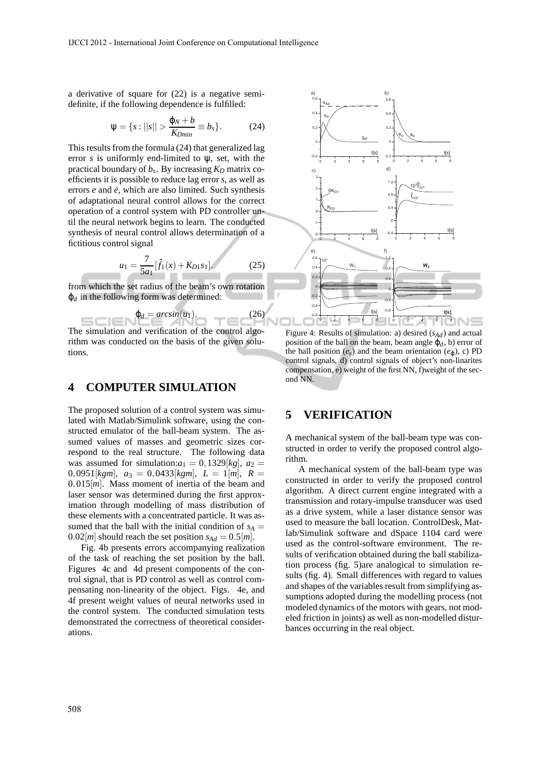a derivative of square for (22) is a negative semidefinite, if the following dependence is fulfilled:

$$
\Psi = \{s : ||s|| > \frac{\varphi_N + b}{K_{Dmin}} \equiv b_s\}.
$$
 (24)

This results from the formula (24) that generalized lag error *s* is uniformly end-limited to ψ, set, with the practical boundary of *b<sup>s</sup>* . By increasing *K<sup>D</sup>* matrix coefficients it is possible to reduce lag error *s*, as well as errors  $e$  and  $\dot{e}$ , which are also limited. Such synthesis of adaptational neural control allows for the correct operation of a control system with PD controller until the neural network begins to learn. The conducted synthesis of neural control allows determination of a fictitious control signal

$$
u_1 = \frac{7}{5a_1} [\hat{f}_1(x) + K_{D1}s_1].
$$
 (25)

 $(26)$ 

from which the set radius of the beam's own rotation  $\varphi_d$  in the following form was determined:

$$
\varphi_d = \arcsin(u_1).
$$

The simulation and verification of the control algorithm was conducted on the basis of the given solutions.

#### **4 COMPUTER SIMULATION**

The proposed solution of a control system was simulated with Matlab/Simulink software, using the constructed emulator of the ball-beam system. The assumed values of masses and geometric sizes correspond to the real structure. The following data was assumed for simulation: $a_1 = 0,1329[kg], a_2 =$ 0,0951[ $kgm$ ],  $a_3 = 0.0433$ [ $kgm$ ],  $L = 1$ [m],  $R =$ 0,015[*m*]. Mass moment of inertia of the beam and laser sensor was determined during the first approximation through modelling of mass distribution of these elements with a concentrated particle. It was assumed that the ball with the initial condition of  $s_A =$  $0.02[m]$  should reach the set position  $s_{Ad} = 0.5[m]$ .

Fig. 4b presents errors accompanying realization of the task of reaching the set position by the ball. Figures 4c and 4d present components of the control signal, that is PD control as well as control compensating non-linearity of the object. Figs. 4e, and 4f present weight values of neural networks used in the control system. The conducted simulation tests demonstrated the correctness of theoretical considerations.



Figure 4: Results of simulation: a) desired (*sAd*) and actual position of the ball on the beam, beam angle  $\varphi_d$ , b) error of the ball position  $(e_s)$  and the beam orientation  $(e_{\omega})$ , c) PD control signals, d) control signals of object's non-linarites compensation, e) weight of the first NN, f)weight of the second NN.

#### **5 VERIFICATION**

A mechanical system of the ball-beam type was constructed in order to verify the proposed control algorithm.

A mechanical system of the ball-beam type was constructed in order to verify the proposed control algorithm. A direct current engine integrated with a transmission and rotary-impulse transducer was used as a drive system, while a laser distance sensor was used to measure the ball location. ControlDesk, Matlab/Simulink software and dSpace 1104 card were used as the control-software environment. The results of verification obtained during the ball stabilization process (fig. 5)are analogical to simulation results (fig. 4). Small differences with regard to values and shapes of the variables result from simplifying assumptions adopted during the modelling process (not modeled dynamics of the motors with gears, not modeled friction in joints) as well as non-modelled disturbances occurring in the real object.